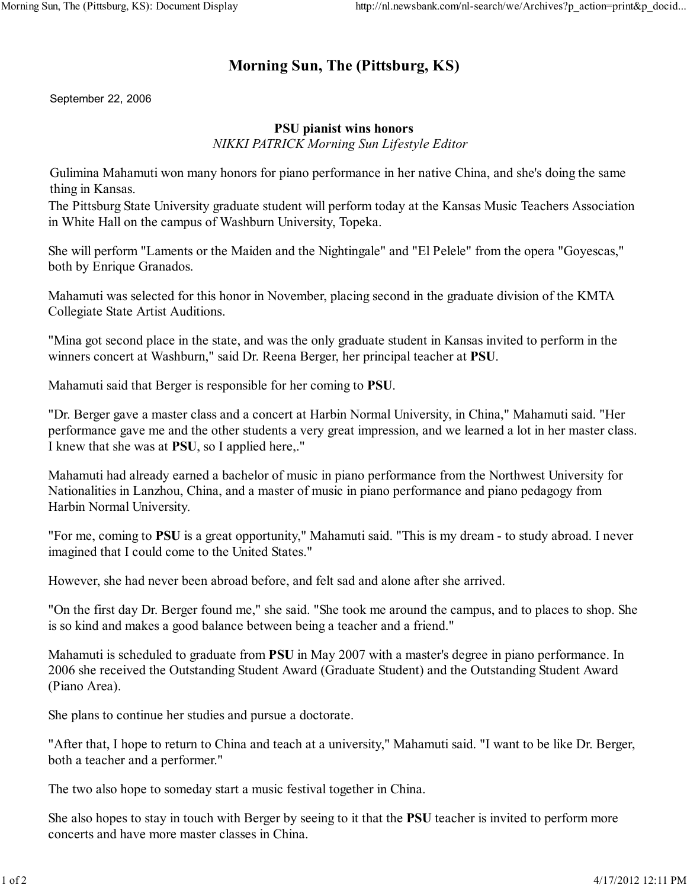## **Morning Sun, The (Pittsburg, KS)**

September 22, 2006

## **PSU pianist wins honors**

*NIKKI PATRICK Morning Sun Lifestyle Editor* 

Gulimina Mahamuti won many honors for piano performance in her native China, and she's doing the same thing in Kansas.

The Pittsburg State University graduate student will perform today at the Kansas Music Teachers Association in White Hall on the campus of Washburn University, Topeka.

She will perform "Laments or the Maiden and the Nightingale" and "El Pelele" from the opera "Goyescas," both by Enrique Granados.

Mahamuti was selected for this honor in November, placing second in the graduate division of the KMTA Collegiate State Artist Auditions.

"Mina got second place in the state, and was the only graduate student in Kansas invited to perform in the winners concert at Washburn," said Dr. Reena Berger, her principal teacher at **PSU**.

Mahamuti said that Berger is responsible for her coming to **PSU**.

"Dr. Berger gave a master class and a concert at Harbin Normal University, in China," Mahamuti said. "Her performance gave me and the other students a very great impression, and we learned a lot in her master class. I knew that she was at **PSU**, so I applied here,."

Mahamuti had already earned a bachelor of music in piano performance from the Northwest University for Nationalities in Lanzhou, China, and a master of music in piano performance and piano pedagogy from Harbin Normal University.

"For me, coming to **PSU** is a great opportunity," Mahamuti said. "This is my dream - to study abroad. I never imagined that I could come to the United States."

However, she had never been abroad before, and felt sad and alone after she arrived.

"On the first day Dr. Berger found me," she said. "She took me around the campus, and to places to shop. She is so kind and makes a good balance between being a teacher and a friend."

Mahamuti is scheduled to graduate from **PSU** in May 2007 with a master's degree in piano performance. In 2006 she received the Outstanding Student Award (Graduate Student) and the Outstanding Student Award (Piano Area).

She plans to continue her studies and pursue a doctorate.

"After that, I hope to return to China and teach at a university," Mahamuti said. "I want to be like Dr. Berger, both a teacher and a performer."

The two also hope to someday start a music festival together in China.

She also hopes to stay in touch with Berger by seeing to it that the **PSU** teacher is invited to perform more concerts and have more master classes in China.